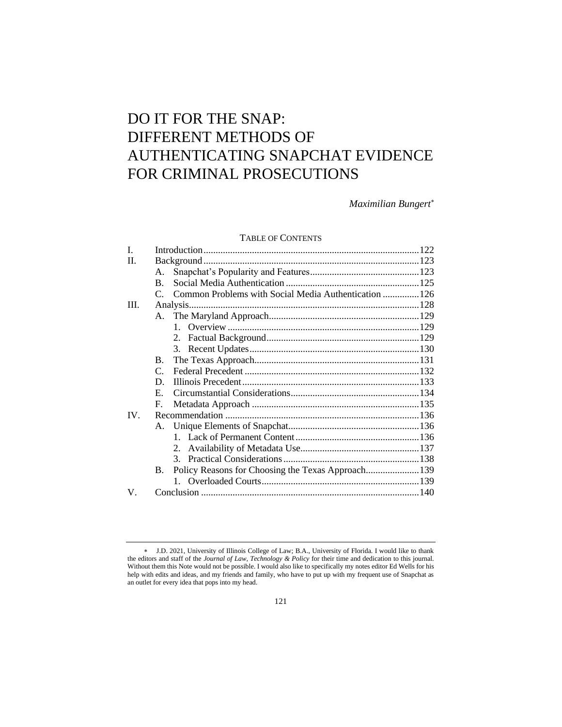# DO IT FOR THE SNAP: DIFFERENT METHODS OF AUTHENTICATING SNAPCHAT EVIDENCE FOR CRIMINAL PROSECUTIONS

*Maximilian Bungert*

# TABLE OF CONTENTS

| I.       |                                                                |  |
|----------|----------------------------------------------------------------|--|
| II.      |                                                                |  |
|          | A.                                                             |  |
|          | B.                                                             |  |
|          | C. Common Problems with Social Media Authentication  126       |  |
| III.     |                                                                |  |
|          |                                                                |  |
|          |                                                                |  |
|          |                                                                |  |
|          |                                                                |  |
|          | $\mathbf{B}$ .                                                 |  |
|          | $\mathsf{C}$                                                   |  |
|          | D.                                                             |  |
|          | E.                                                             |  |
|          | F.                                                             |  |
| $IV_{-}$ |                                                                |  |
|          |                                                                |  |
|          |                                                                |  |
|          |                                                                |  |
|          |                                                                |  |
|          | Policy Reasons for Choosing the Texas Approach139<br><b>B.</b> |  |
|          |                                                                |  |
| V.       |                                                                |  |
|          |                                                                |  |

J.D. 2021, University of Illinois College of Law; B.A., University of Florida. I would like to thank the editors and staff of the *Journal of Law, Technology & Policy* for their time and dedication to this journal. Without them this Note would not be possible. I would also like to specifically my notes editor Ed Wells for his help with edits and ideas, and my friends and family, who have to put up with my frequent use of Snapchat as an outlet for every idea that pops into my head.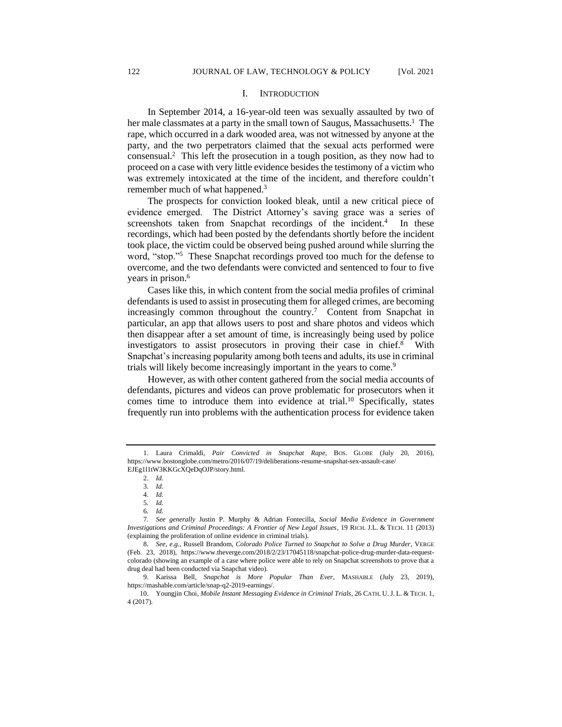#### I. INTRODUCTION

In September 2014, a 16-year-old teen was sexually assaulted by two of her male classmates at a party in the small town of Saugus, Massachusetts.<sup>1</sup> The rape, which occurred in a dark wooded area, was not witnessed by anyone at the party, and the two perpetrators claimed that the sexual acts performed were consensual.<sup>2</sup> This left the prosecution in a tough position, as they now had to proceed on a case with very little evidence besides the testimony of a victim who was extremely intoxicated at the time of the incident, and therefore couldn't remember much of what happened.<sup>3</sup>

The prospects for conviction looked bleak, until a new critical piece of evidence emerged. The District Attorney's saving grace was a series of screenshots taken from Snapchat recordings of the incident.<sup>4</sup> In these recordings, which had been posted by the defendants shortly before the incident took place, the victim could be observed being pushed around while slurring the word, "stop."<sup>5</sup> These Snapchat recordings proved too much for the defense to overcome, and the two defendants were convicted and sentenced to four to five years in prison.<sup>6</sup>

Cases like this, in which content from the social media profiles of criminal defendants is used to assist in prosecuting them for alleged crimes, are becoming increasingly common throughout the country.<sup>7</sup> Content from Snapchat in particular, an app that allows users to post and share photos and videos which then disappear after a set amount of time, is increasingly being used by police investigators to assist prosecutors in proving their case in chief.<sup>8</sup> With Snapchat's increasing popularity among both teens and adults, its use in criminal trials will likely become increasingly important in the years to come.<sup>9</sup>

However, as with other content gathered from the social media accounts of defendants, pictures and videos can prove problematic for prosecutors when it comes time to introduce them into evidence at trial.<sup>10</sup> Specifically, states frequently run into problems with the authentication process for evidence taken

<sup>1.</sup> Laura Crimaldi, *Pair Convicted in Snapchat Rape*, BOS. GLOBE (July 20, 2016), https://www.bostonglobe.com/metro/2016/07/19/deliberations-resume-snapshat-sex-assault-case/ EJEg1l1tW3KKGcXQeDqOJP/story.html.

<sup>2.</sup> *Id.*

<sup>3</sup>*. Id.*

<sup>4.</sup> *Id.*

<sup>5</sup>*. Id.*

<sup>6</sup>*. Id.*

<sup>7</sup>*. See generally* Justin P. Murphy & Adrian Fontecilla, *Social Media Evidence in Government Investigations and Criminal Proceedings: A Frontier of New Legal Issues*, 19 RICH. J.L. & TECH. 11 (2013) (explaining the proliferation of online evidence in criminal trials).

<sup>8</sup>*. See*, *e.g.*, Russell Brandom, *Colorado Police Turned to Snapchat to Solve a Drug Murder*, VERGE (Feb. 23, 2018), https://www.theverge.com/2018/2/23/17045118/snapchat-police-drug-murder-data-requestcolorado (showing an example of a case where police were able to rely on Snapchat screenshots to prove that a drug deal had been conducted via Snapchat video).

<sup>9.</sup> Karissa Bell, *Snapchat is More Popular Than Ever*, MASHABLE (July 23, 2019), https://mashable.com/article/snap-q2-2019-earnings/.

<sup>10.</sup> Youngjin Choi, *Mobile Instant Messaging Evidence in Criminal Trials*, 26 CATH. U.J. L. & TECH. 1, 4 (2017).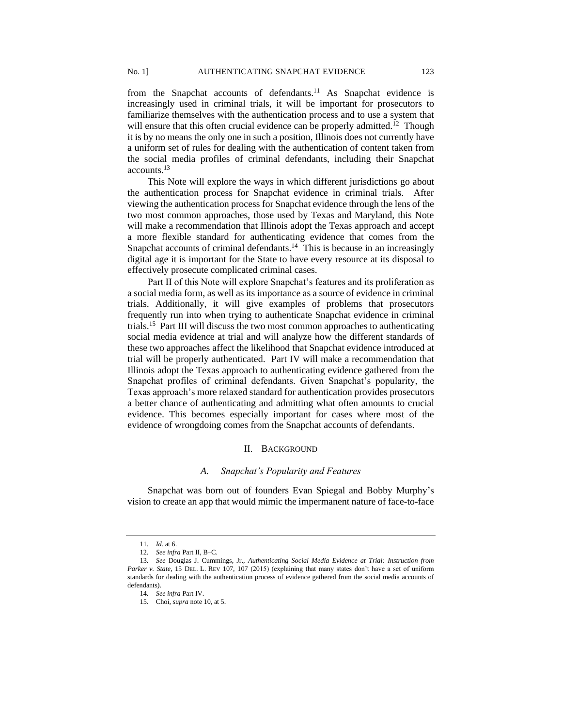from the Snapchat accounts of defendants.<sup>11</sup> As Snapchat evidence is increasingly used in criminal trials, it will be important for prosecutors to familiarize themselves with the authentication process and to use a system that will ensure that this often crucial evidence can be properly admitted.<sup>12</sup> Though it is by no means the only one in such a position, Illinois does not currently have a uniform set of rules for dealing with the authentication of content taken from the social media profiles of criminal defendants, including their Snapchat accounts.<sup>13</sup>

This Note will explore the ways in which different jurisdictions go about the authentication process for Snapchat evidence in criminal trials. After viewing the authentication process for Snapchat evidence through the lens of the two most common approaches, those used by Texas and Maryland, this Note will make a recommendation that Illinois adopt the Texas approach and accept a more flexible standard for authenticating evidence that comes from the Snapchat accounts of criminal defendants.<sup>14</sup> This is because in an increasingly digital age it is important for the State to have every resource at its disposal to effectively prosecute complicated criminal cases.

Part II of this Note will explore Snapchat's features and its proliferation as a social media form, as well as its importance as a source of evidence in criminal trials. Additionally, it will give examples of problems that prosecutors frequently run into when trying to authenticate Snapchat evidence in criminal trials.<sup>15</sup> Part III will discuss the two most common approaches to authenticating social media evidence at trial and will analyze how the different standards of these two approaches affect the likelihood that Snapchat evidence introduced at trial will be properly authenticated. Part IV will make a recommendation that Illinois adopt the Texas approach to authenticating evidence gathered from the Snapchat profiles of criminal defendants. Given Snapchat's popularity, the Texas approach's more relaxed standard for authentication provides prosecutors a better chance of authenticating and admitting what often amounts to crucial evidence. This becomes especially important for cases where most of the evidence of wrongdoing comes from the Snapchat accounts of defendants.

## II. BACKGROUND

## *A. Snapchat's Popularity and Features*

Snapchat was born out of founders Evan Spiegal and Bobby Murphy's vision to create an app that would mimic the impermanent nature of face-to-face

<sup>11</sup>*. Id.* at 6.

<sup>12</sup>*. See infra* Part II, B–C.

<sup>13</sup>*. See* Douglas J. Cummings, Jr., *Authenticating Social Media Evidence at Trial: Instruction from Parker v. State*, 15 DEL. L. REV 107, 107 (2015) (explaining that many states don't have a set of uniform standards for dealing with the authentication process of evidence gathered from the social media accounts of defendants).

<sup>14</sup>*. See infra* Part IV.

<sup>15.</sup> Choi, *supra* note 10, at 5.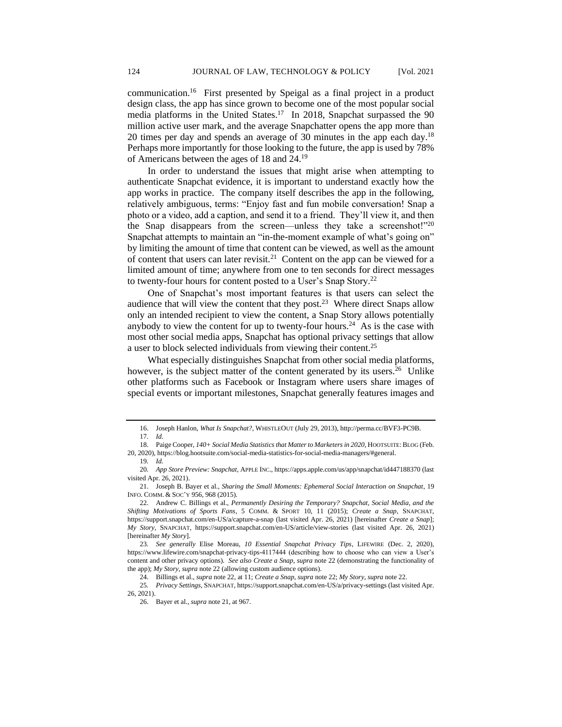communication.<sup>16</sup> First presented by Speigal as a final project in a product design class, the app has since grown to become one of the most popular social media platforms in the United States.<sup>17</sup> In 2018, Snapchat surpassed the 90 million active user mark, and the average Snapchatter opens the app more than 20 times per day and spends an average of 30 minutes in the app each day.<sup>18</sup> Perhaps more importantly for those looking to the future, the app is used by 78% of Americans between the ages of 18 and 24.<sup>19</sup>

In order to understand the issues that might arise when attempting to authenticate Snapchat evidence, it is important to understand exactly how the app works in practice. The company itself describes the app in the following, relatively ambiguous, terms: "Enjoy fast and fun mobile conversation! Snap a photo or a video, add a caption, and send it to a friend. They'll view it, and then the Snap disappears from the screen—unless they take a screenshot!"20 Snapchat attempts to maintain an "in-the-moment example of what's going on" by limiting the amount of time that content can be viewed, as well as the amount of content that users can later revisit.<sup>21</sup> Content on the app can be viewed for a limited amount of time; anywhere from one to ten seconds for direct messages to twenty-four hours for content posted to a User's Snap Story.<sup>22</sup>

One of Snapchat's most important features is that users can select the audience that will view the content that they post.<sup>23</sup> Where direct Snaps allow only an intended recipient to view the content, a Snap Story allows potentially anybody to view the content for up to twenty-four hours.<sup>24</sup> As is the case with most other social media apps, Snapchat has optional privacy settings that allow a user to block selected individuals from viewing their content.<sup>25</sup>

What especially distinguishes Snapchat from other social media platforms, however, is the subject matter of the content generated by its users.<sup>26</sup> Unlike other platforms such as Facebook or Instagram where users share images of special events or important milestones, Snapchat generally features images and

<sup>16.</sup> Joseph Hanlon, *What Is Snapchat?*, WHISTLEOUT (July 29, 2013), http://perma.cc/BVF3-PC9B. 17*. Id.*

<sup>18.</sup> Paige Cooper, 140+ Social Media Statistics that Matter to Marketers in 2020, HOOTSUITE: BLOG (Feb. 20, 2020), https://blog.hootsuite.com/social-media-statistics-for-social-media-managers/#general.

<sup>19</sup>*. Id.*

<sup>20</sup>*. App Store Preview: Snapchat,* APPLE INC., https://apps.apple.com/us/app/snapchat/id447188370 (last visited Apr. 26, 2021).

<sup>21.</sup> Joseph B. Bayer et al., *Sharing the Small Moments: Ephemeral Social Interaction on Snapchat*, 19 INFO. COMM. & SOC'Y 956, 968 (2015).

<sup>22.</sup> Andrew C. Billings et al., *Permanently Desiring the Temporary? Snapchat, Social Media, and the Shifting Motivations of Sports Fans*, 5 COMM. & SPORT 10, 11 (2015); *Create a Snap*, SNAPCHAT, https://support.snapchat.com/en-US/a/capture-a-snap (last visited Apr. 26, 2021) [hereinafter *Create a Snap*]; *My Story*, SNAPCHAT, https://support.snapchat.com/en-US/article/view-stories (last visited Apr. 26, 2021) [hereinafter *My Story*].

<sup>23</sup>*. See generally* Elise Moreau, *10 Essential Snapchat Privacy Tips*, LIFEWIRE (Dec. 2, 2020), https://www.lifewire.com/snapchat-privacy-tips-4117444 (describing how to choose who can view a User's content and other privacy options). *See also Create a Snap*, *supra* note 22 (demonstrating the functionality of the app); *My Story*, *supra* note 22 (allowing custom audience options).

<sup>24.</sup> Billings et al., *supra* note 22, at 11; *Create a Snap*, *supra* note 22; *My Story*, *supra* note 22.

<sup>25</sup>*. Privacy Settings*, SNAPCHAT, https://support.snapchat.com/en-US/a/privacy-settings (last visited Apr. 26, 2021).

<sup>26.</sup> Bayer et al., *supra* note 21, at 967.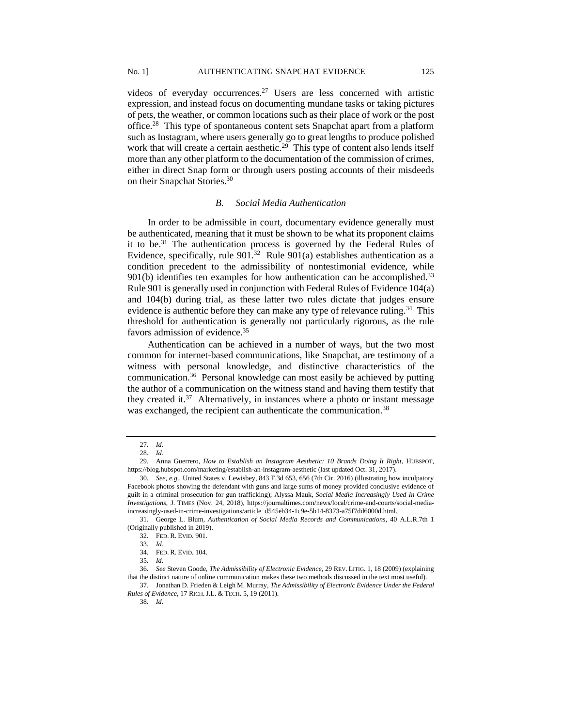videos of everyday occurrences.<sup>27</sup> Users are less concerned with artistic expression, and instead focus on documenting mundane tasks or taking pictures of pets, the weather, or common locations such as their place of work or the post office.<sup>28</sup> This type of spontaneous content sets Snapchat apart from a platform such as Instagram, where users generally go to great lengths to produce polished work that will create a certain aesthetic.<sup>29</sup> This type of content also lends itself more than any other platform to the documentation of the commission of crimes, either in direct Snap form or through users posting accounts of their misdeeds on their Snapchat Stories.<sup>30</sup>

#### *B. Social Media Authentication*

In order to be admissible in court, documentary evidence generally must be authenticated, meaning that it must be shown to be what its proponent claims it to be.<sup>31</sup> The authentication process is governed by the Federal Rules of Evidence, specifically, rule  $901<sup>32</sup>$  Rule  $901(a)$  establishes authentication as a condition precedent to the admissibility of nontestimonial evidence, while  $901(b)$  identifies ten examples for how authentication can be accomplished.<sup>33</sup> Rule 901 is generally used in conjunction with Federal Rules of Evidence 104(a) and 104(b) during trial, as these latter two rules dictate that judges ensure evidence is authentic before they can make any type of relevance ruling.<sup>34</sup> This threshold for authentication is generally not particularly rigorous, as the rule favors admission of evidence.<sup>35</sup>

Authentication can be achieved in a number of ways, but the two most common for internet-based communications, like Snapchat, are testimony of a witness with personal knowledge, and distinctive characteristics of the communication.<sup>36</sup> Personal knowledge can most easily be achieved by putting the author of a communication on the witness stand and having them testify that they created it.<sup>37</sup> Alternatively, in instances where a photo or instant message was exchanged, the recipient can authenticate the communication.<sup>38</sup>

<sup>27</sup>*. Id.*

<sup>28</sup>*. Id.*

<sup>29.</sup> Anna Guerrero, *How to Establish an Instagram Aesthetic: 10 Brands Doing It Right*, HUBSPOT, https://blog.hubspot.com/marketing/establish-an-instagram-aesthetic (last updated Oct. 31, 2017).

<sup>30</sup>*. See, e.g*., United States v. Lewisbey, 843 F.3d 653, 656 (7th Cir. 2016) (illustrating how inculpatory Facebook photos showing the defendant with guns and large sums of money provided conclusive evidence of guilt in a criminal prosecution for gun trafficking); Alyssa Mauk, *Social Media Increasingly Used In Crime Investigations*, J. TIMES (Nov. 24, 2018), https://journaltimes.com/news/local/crime-and-courts/social-mediaincreasingly-used-in-crime-investigations/article\_d545eb34-1c9e-5b14-8373-a75f7dd6000d.html.

<sup>31.</sup> George L. Blum, *Authentication of Social Media Records and Communications*, 40 A.L.R.7th 1 (Originally published in 2019).

<sup>32</sup>*.* FED. R. EVID. 901.

<sup>33</sup>*. Id.*

<sup>34</sup>*.* FED. R. EVID. 104.

<sup>35</sup>*. Id.*

<sup>36</sup>*. See* Steven Goode, *The Admissibility of Electronic Evidence*, 29 REV. LITIG. 1, 18 (2009) (explaining that the distinct nature of online communication makes these two methods discussed in the text most useful).

<sup>37.</sup> Jonathan D. Frieden & Leigh M. Murray, *The Admissibility of Electronic Evidence Under the Federal Rules of Evidence*, 17 RICH.J.L. & TECH. 5, 19 (2011).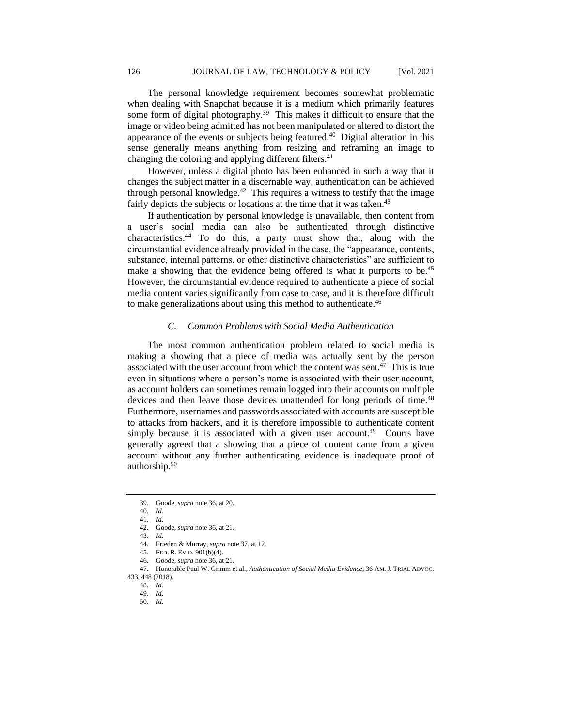The personal knowledge requirement becomes somewhat problematic when dealing with Snapchat because it is a medium which primarily features some form of digital photography.<sup>39</sup> This makes it difficult to ensure that the image or video being admitted has not been manipulated or altered to distort the appearance of the events or subjects being featured.<sup>40</sup> Digital alteration in this sense generally means anything from resizing and reframing an image to changing the coloring and applying different filters.<sup>41</sup>

However, unless a digital photo has been enhanced in such a way that it changes the subject matter in a discernable way, authentication can be achieved through personal knowledge.<sup>42</sup> This requires a witness to testify that the image fairly depicts the subjects or locations at the time that it was taken.<sup>43</sup>

If authentication by personal knowledge is unavailable, then content from a user's social media can also be authenticated through distinctive characteristics.<sup>44</sup> To do this, a party must show that, along with the circumstantial evidence already provided in the case, the "appearance, contents, substance, internal patterns, or other distinctive characteristics" are sufficient to make a showing that the evidence being offered is what it purports to be.<sup>45</sup> However, the circumstantial evidence required to authenticate a piece of social media content varies significantly from case to case, and it is therefore difficult to make generalizations about using this method to authenticate.<sup>46</sup>

## *C. Common Problems with Social Media Authentication*

The most common authentication problem related to social media is making a showing that a piece of media was actually sent by the person associated with the user account from which the content was sent.<sup>47</sup> This is true even in situations where a person's name is associated with their user account, as account holders can sometimes remain logged into their accounts on multiple devices and then leave those devices unattended for long periods of time.<sup>48</sup> Furthermore, usernames and passwords associated with accounts are susceptible to attacks from hackers, and it is therefore impossible to authenticate content simply because it is associated with a given user account.<sup>49</sup> Courts have generally agreed that a showing that a piece of content came from a given account without any further authenticating evidence is inadequate proof of authorship.<sup>50</sup>

46. Goode, *supra* note 36, at 21.

50*. Id.*

<sup>39.</sup> Goode, *supra* note 36, at 20.

<sup>40</sup>*. Id.*

<sup>41</sup>*. Id.*

<sup>42.</sup> Goode, *supra* note 36, at 21.

<sup>43</sup>*. Id.*

<sup>44.</sup> Frieden & Murray, *supra* note 37, at 12.

<sup>45.</sup> FED. R. EVID. 901(b)(4).

<sup>47.</sup> Honorable Paul W. Grimm et al., *Authentication of Social Media Evidence*, 36 AM.J. TRIAL ADVOC.

<sup>433,</sup> 448 (2018).

<sup>48</sup>*. Id.*

<sup>49</sup>*. Id.*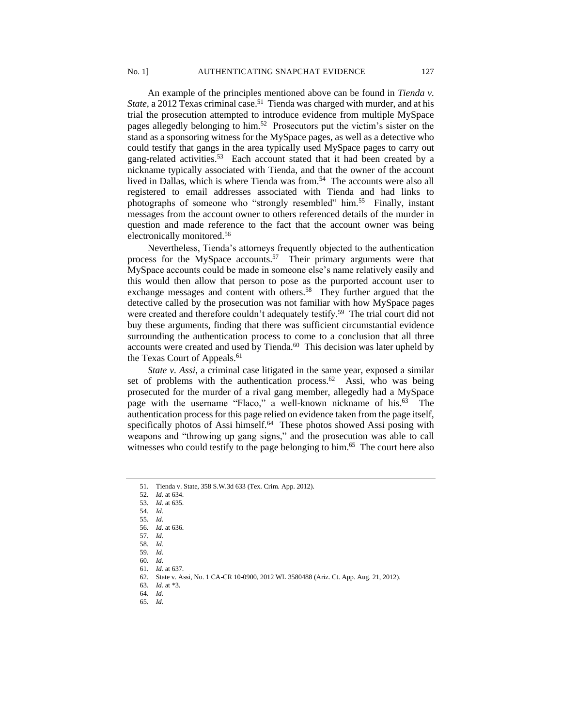An example of the principles mentioned above can be found in *Tienda v.*  State, a 2012 Texas criminal case.<sup>51</sup> Tienda was charged with murder, and at his trial the prosecution attempted to introduce evidence from multiple MySpace pages allegedly belonging to him.<sup>52</sup> Prosecutors put the victim's sister on the stand as a sponsoring witness for the MySpace pages, as well as a detective who could testify that gangs in the area typically used MySpace pages to carry out gang-related activities.<sup>53</sup> Each account stated that it had been created by a nickname typically associated with Tienda, and that the owner of the account lived in Dallas, which is where Tienda was from.<sup>54</sup> The accounts were also all registered to email addresses associated with Tienda and had links to photographs of someone who "strongly resembled" him.<sup>55</sup> Finally, instant messages from the account owner to others referenced details of the murder in question and made reference to the fact that the account owner was being electronically monitored.<sup>56</sup>

Nevertheless, Tienda's attorneys frequently objected to the authentication process for the MySpace accounts.<sup>57</sup> Their primary arguments were that MySpace accounts could be made in someone else's name relatively easily and this would then allow that person to pose as the purported account user to exchange messages and content with others.<sup>58</sup> They further argued that the detective called by the prosecution was not familiar with how MySpace pages were created and therefore couldn't adequately testify.<sup>59</sup> The trial court did not buy these arguments, finding that there was sufficient circumstantial evidence surrounding the authentication process to come to a conclusion that all three accounts were created and used by Tienda.<sup>60</sup> This decision was later upheld by the Texas Court of Appeals.<sup>61</sup>

*State v. Assi*, a criminal case litigated in the same year, exposed a similar set of problems with the authentication process. $62$  Assi, who was being prosecuted for the murder of a rival gang member, allegedly had a MySpace page with the username "Flaco," a well-known nickname of his.<sup>63</sup> The authentication process for this page relied on evidence taken from the page itself, specifically photos of Assi himself.<sup>64</sup> These photos showed Assi posing with weapons and "throwing up gang signs," and the prosecution was able to call witnesses who could testify to the page belonging to him.<sup>65</sup> The court here also

<sup>51.</sup> Tienda v. State, 358 S.W.3d 633 (Tex. Crim. App. 2012).

<sup>52</sup>*. Id.* at 634.

<sup>53</sup>*. Id.* at 635.

<sup>54</sup>*. Id.*

<sup>55</sup>*. Id.* 56*. Id.* at 636.

<sup>57</sup>*. Id.*

<sup>58</sup>*. Id.*

<sup>59.</sup> *Id.*

<sup>60</sup>*. Id.*

<sup>61</sup>*. Id.* at 637.

<sup>62</sup>*.* State v. Assi, No. 1 CA-CR 10-0900, 2012 WL 3580488 (Ariz. Ct. App. Aug. 21, 2012).

<sup>63</sup>*. Id.* at \*3.

<sup>64</sup>*. Id.*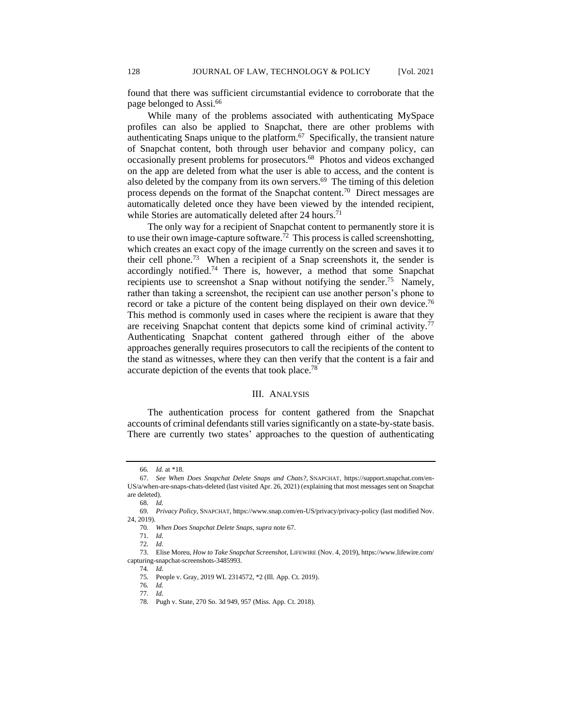found that there was sufficient circumstantial evidence to corroborate that the page belonged to Assi.<sup>66</sup>

While many of the problems associated with authenticating MySpace profiles can also be applied to Snapchat, there are other problems with authenticating Snaps unique to the platform.<sup>67</sup> Specifically, the transient nature of Snapchat content, both through user behavior and company policy, can occasionally present problems for prosecutors.<sup>68</sup> Photos and videos exchanged on the app are deleted from what the user is able to access, and the content is also deleted by the company from its own servers.<sup>69</sup> The timing of this deletion process depends on the format of the Snapchat content.<sup>70</sup> Direct messages are automatically deleted once they have been viewed by the intended recipient, while Stories are automatically deleted after 24 hours.<sup>71</sup>

The only way for a recipient of Snapchat content to permanently store it is to use their own image-capture software.<sup>72</sup> This process is called screenshotting, which creates an exact copy of the image currently on the screen and saves it to their cell phone.<sup>73</sup> When a recipient of a Snap screenshots it, the sender is accordingly notified. <sup>74</sup> There is, however, a method that some Snapchat recipients use to screenshot a Snap without notifying the sender.<sup>75</sup> Namely, rather than taking a screenshot, the recipient can use another person's phone to record or take a picture of the content being displayed on their own device.<sup>76</sup> This method is commonly used in cases where the recipient is aware that they are receiving Snapchat content that depicts some kind of criminal activity.<sup>77</sup> Authenticating Snapchat content gathered through either of the above approaches generally requires prosecutors to call the recipients of the content to the stand as witnesses, where they can then verify that the content is a fair and accurate depiction of the events that took place.<sup>78</sup>

#### III. ANALYSIS

The authentication process for content gathered from the Snapchat accounts of criminal defendants still varies significantly on a state-by-state basis. There are currently two states' approaches to the question of authenticating

<sup>66</sup>*. Id.* at \*18.

<sup>67</sup>*. See When Does Snapchat Delete Snaps and Chats?*, SNAPCHAT, https://support.snapchat.com/en-US/a/when-are-snaps-chats-deleted (last visited Apr. 26, 2021) (explaining that most messages sent on Snapchat are deleted).

<sup>68</sup>*. Id.*

<sup>69</sup>*. Privacy Policy*, SNAPCHAT, https://www.snap.com/en-US/privacy/privacy-policy (last modified Nov. 24, 2019).

<sup>70</sup>*. When Does Snapchat Delete Snaps*, *supra* note 67.

<sup>71</sup>*. Id.*

<sup>72</sup>*. Id.*

<sup>73.</sup> Elise Moreu, *How to Take Snapchat Screenshot*, LIFEWIRE (Nov. 4, 2019), https://www.lifewire.com/ capturing-snapchat-screenshots-3485993.

<sup>74</sup>*. Id.*

<sup>75</sup>*.* People v. Gray, 2019 WL 2314572, \*2 (Ill. App. Ct. 2019).

<sup>76</sup>*. Id.*

<sup>77</sup>*. Id.*

<sup>78</sup>*.* Pugh v. State, 270 So. 3d 949, 957 (Miss. App. Ct. 2018).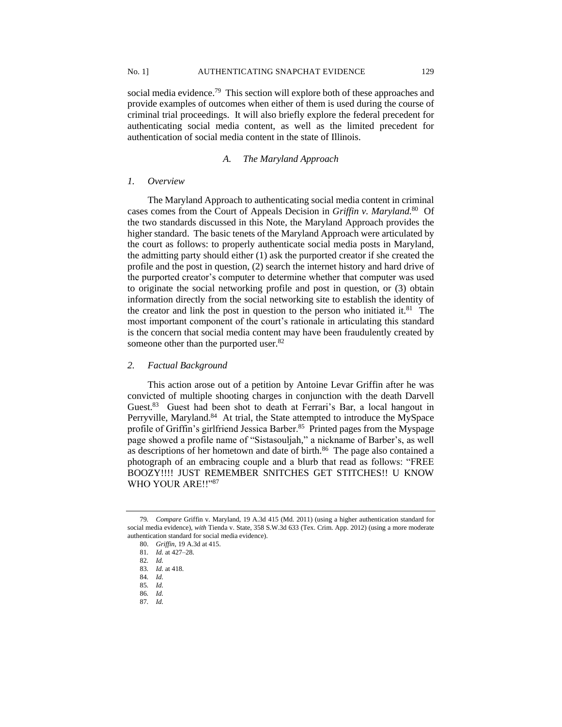social media evidence.<sup>79</sup> This section will explore both of these approaches and provide examples of outcomes when either of them is used during the course of criminal trial proceedings. It will also briefly explore the federal precedent for authenticating social media content, as well as the limited precedent for authentication of social media content in the state of Illinois.

## *A. The Maryland Approach*

#### *1. Overview*

The Maryland Approach to authenticating social media content in criminal cases comes from the Court of Appeals Decision in *Griffin v. Maryland.*<sup>80</sup> Of the two standards discussed in this Note, the Maryland Approach provides the higher standard. The basic tenets of the Maryland Approach were articulated by the court as follows: to properly authenticate social media posts in Maryland, the admitting party should either (1) ask the purported creator if she created the profile and the post in question, (2) search the internet history and hard drive of the purported creator's computer to determine whether that computer was used to originate the social networking profile and post in question, or (3) obtain information directly from the social networking site to establish the identity of the creator and link the post in question to the person who initiated it.<sup>81</sup> The most important component of the court's rationale in articulating this standard is the concern that social media content may have been fraudulently created by someone other than the purported user.<sup>82</sup>

#### *2. Factual Background*

This action arose out of a petition by Antoine Levar Griffin after he was convicted of multiple shooting charges in conjunction with the death Darvell Guest.<sup>83</sup> Guest had been shot to death at Ferrari's Bar, a local hangout in Perryville, Maryland.<sup>84</sup> At trial, the State attempted to introduce the MySpace profile of Griffin's girlfriend Jessica Barber.<sup>85</sup> Printed pages from the Myspage page showed a profile name of "Sistasouljah," a nickname of Barber's, as well as descriptions of her hometown and date of birth.<sup>86</sup> The page also contained a photograph of an embracing couple and a blurb that read as follows: "FREE BOOZY!!!! JUST REMEMBER SNITCHES GET STITCHES!! U KNOW WHO YOUR ARE!!"<sup>87</sup>

<sup>79</sup>*. Compare* Griffin v. Maryland, 19 A.3d 415 (Md. 2011) (using a higher authentication standard for social media evidence), *with* Tienda v. State, 358 S.W.3d 633 (Tex. Crim. App. 2012) (using a more moderate authentication standard for social media evidence).

<sup>80.</sup> *Griffin*, 19 A.3d at 415.

<sup>81</sup>*. Id.* at 427–28.

<sup>82</sup>*. Id.*

<sup>83</sup>*. Id.* at 418.

<sup>84</sup>*. Id.*

<sup>85</sup>*. Id.*

<sup>86</sup>*. Id.*

<sup>87</sup>*. Id.*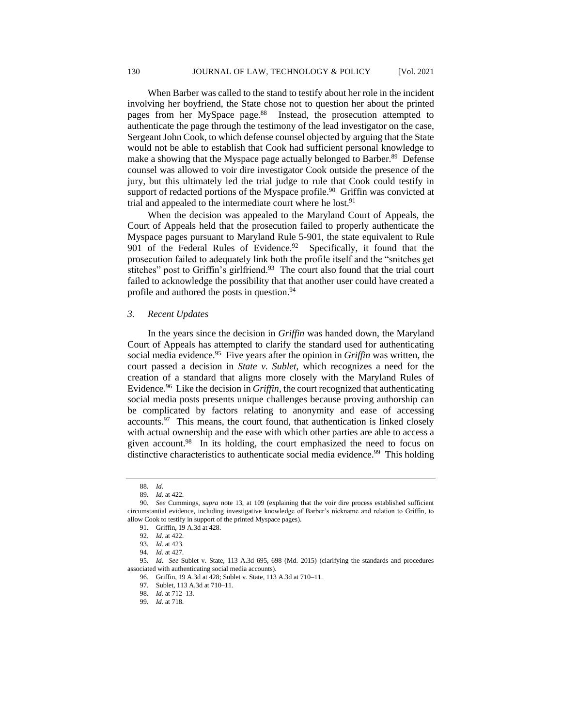When Barber was called to the stand to testify about her role in the incident involving her boyfriend, the State chose not to question her about the printed pages from her MySpace page.<sup>88</sup> Instead, the prosecution attempted to authenticate the page through the testimony of the lead investigator on the case, Sergeant John Cook, to which defense counsel objected by arguing that the State would not be able to establish that Cook had sufficient personal knowledge to make a showing that the Myspace page actually belonged to Barber.<sup>89</sup> Defense counsel was allowed to voir dire investigator Cook outside the presence of the jury, but this ultimately led the trial judge to rule that Cook could testify in support of redacted portions of the Myspace profile.<sup>90</sup> Griffin was convicted at trial and appealed to the intermediate court where he lost.<sup>91</sup>

When the decision was appealed to the Maryland Court of Appeals, the Court of Appeals held that the prosecution failed to properly authenticate the Myspace pages pursuant to Maryland Rule 5-901, the state equivalent to Rule 901 of the Federal Rules of Evidence.<sup>92</sup> Specifically, it found that the prosecution failed to adequately link both the profile itself and the "snitches get stitches" post to Griffin's girlfriend. $93$  The court also found that the trial court failed to acknowledge the possibility that that another user could have created a profile and authored the posts in question.<sup>94</sup>

## *3. Recent Updates*

In the years since the decision in *Griffin* was handed down, the Maryland Court of Appeals has attempted to clarify the standard used for authenticating social media evidence.<sup>95</sup> Five years after the opinion in *Griffin* was written, the court passed a decision in *State v. Sublet*, which recognizes a need for the creation of a standard that aligns more closely with the Maryland Rules of Evidence.<sup>96</sup> Like the decision in *Griffin*, the court recognized that authenticating social media posts presents unique challenges because proving authorship can be complicated by factors relating to anonymity and ease of accessing  $accounts.<sup>97</sup>$  This means, the court found, that authentication is linked closely with actual ownership and the ease with which other parties are able to access a given account.<sup>98</sup> In its holding, the court emphasized the need to focus on distinctive characteristics to authenticate social media evidence.<sup>99</sup> This holding

<sup>88</sup>*. Id.*

<sup>89.</sup> *Id.* at 422.

<sup>90</sup>*. See* Cummings, *supra* note 13, at 109 (explaining that the voir dire process established sufficient circumstantial evidence, including investigative knowledge of Barber's nickname and relation to Griffin, to allow Cook to testify in support of the printed Myspace pages).

<sup>91.</sup> Griffin, 19 A.3d at 428.

<sup>92</sup>*. Id.* at 422.

<sup>93</sup>*. Id.* at 423.

<sup>94</sup>*. Id.* at 427.

<sup>95</sup>*. Id*. *See* Sublet v. State, 113 A.3d 695, 698 (Md. 2015) (clarifying the standards and procedures associated with authenticating social media accounts).

<sup>96.</sup> Griffin, 19 A.3d at 428; Sublet v. State, 113 A.3d at 710–11.

<sup>97</sup>*.* Sublet, 113 A.3d at 710–11.

<sup>98.</sup> *Id.* at 712–13.

<sup>99</sup>*. Id.* at 718.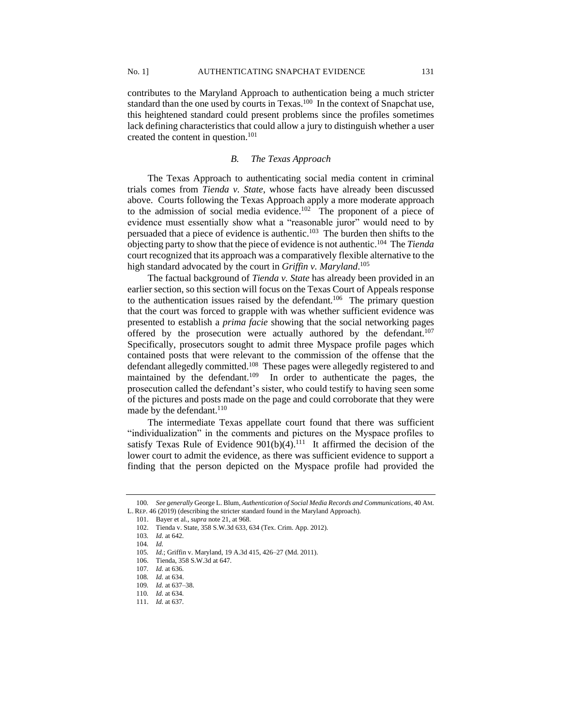contributes to the Maryland Approach to authentication being a much stricter standard than the one used by courts in Texas.<sup>100</sup> In the context of Snapchat use, this heightened standard could present problems since the profiles sometimes lack defining characteristics that could allow a jury to distinguish whether a user created the content in question.<sup>101</sup>

#### *B. The Texas Approach*

The Texas Approach to authenticating social media content in criminal trials comes from *Tienda v. State*, whose facts have already been discussed above. Courts following the Texas Approach apply a more moderate approach to the admission of social media evidence.<sup>102</sup> The proponent of a piece of evidence must essentially show what a "reasonable juror" would need to by persuaded that a piece of evidence is authentic.<sup>103</sup> The burden then shifts to the objecting party to show that the piece of evidence is not authentic.<sup>104</sup> The *Tienda* court recognized that its approach was a comparatively flexible alternative to the high standard advocated by the court in *Griffin v. Maryland*. 105

The factual background of *Tienda v. State* has already been provided in an earlier section, so this section will focus on the Texas Court of Appeals response to the authentication issues raised by the defendant.<sup>106</sup> The primary question that the court was forced to grapple with was whether sufficient evidence was presented to establish a *prima facie* showing that the social networking pages offered by the prosecution were actually authored by the defendant.<sup>107</sup> Specifically, prosecutors sought to admit three Myspace profile pages which contained posts that were relevant to the commission of the offense that the defendant allegedly committed.<sup>108</sup> These pages were allegedly registered to and maintained by the defendant.<sup>109</sup> In order to authenticate the pages, the prosecution called the defendant's sister, who could testify to having seen some of the pictures and posts made on the page and could corroborate that they were made by the defendant.<sup>110</sup>

The intermediate Texas appellate court found that there was sufficient "individualization" in the comments and pictures on the Myspace profiles to satisfy Texas Rule of Evidence  $901(b)(4)$ .<sup>111</sup> It affirmed the decision of the lower court to admit the evidence, as there was sufficient evidence to support a finding that the person depicted on the Myspace profile had provided the

<sup>100</sup>*. See generally* George L. Blum, *Authentication of Social Media Records and Communications*, 40 AM. L. REP. 46 (2019) (describing the stricter standard found in the Maryland Approach).

<sup>101.</sup> Bayer et al., *supra* note 21, at 968.

<sup>102.</sup> Tienda v. State, 358 S.W.3d 633, 634 (Tex. Crim. App. 2012).

<sup>103</sup>*. Id.* at 642.

<sup>104</sup>*. Id.*

<sup>105</sup>*. Id.*; Griffin v. Maryland, 19 A.3d 415, 426–27 (Md. 2011).

<sup>106.</sup> Tienda, 358 S.W.3d at 647.

<sup>107</sup>*. Id.* at 636.

<sup>108</sup>*. Id.* at 634.

<sup>109</sup>*. Id.* at 637–38.

<sup>110</sup>*. Id.* at 634.

<sup>111.</sup> *Id.* at 637.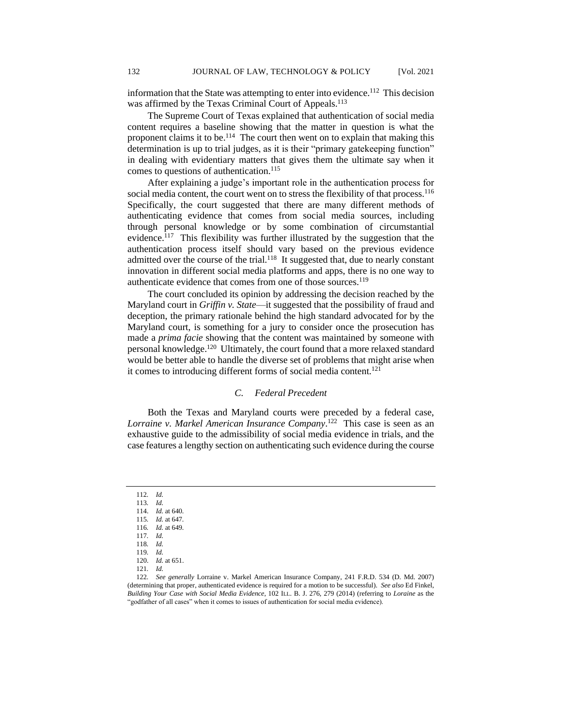information that the State was attempting to enter into evidence.<sup>112</sup> This decision was affirmed by the Texas Criminal Court of Appeals.<sup>113</sup>

The Supreme Court of Texas explained that authentication of social media content requires a baseline showing that the matter in question is what the proponent claims it to be.<sup>114</sup> The court then went on to explain that making this determination is up to trial judges, as it is their "primary gatekeeping function" in dealing with evidentiary matters that gives them the ultimate say when it comes to questions of authentication.<sup>115</sup>

After explaining a judge's important role in the authentication process for social media content, the court went on to stress the flexibility of that process.<sup>116</sup> Specifically, the court suggested that there are many different methods of authenticating evidence that comes from social media sources, including through personal knowledge or by some combination of circumstantial evidence.<sup>117</sup> This flexibility was further illustrated by the suggestion that the authentication process itself should vary based on the previous evidence admitted over the course of the trial.<sup>118</sup> It suggested that, due to nearly constant innovation in different social media platforms and apps, there is no one way to authenticate evidence that comes from one of those sources.<sup>119</sup>

The court concluded its opinion by addressing the decision reached by the Maryland court in *Griffin v. State*—it suggested that the possibility of fraud and deception, the primary rationale behind the high standard advocated for by the Maryland court, is something for a jury to consider once the prosecution has made a *prima facie* showing that the content was maintained by someone with personal knowledge.<sup>120</sup> Ultimately, the court found that a more relaxed standard would be better able to handle the diverse set of problems that might arise when it comes to introducing different forms of social media content.<sup>121</sup>

## *C. Federal Precedent*

Both the Texas and Maryland courts were preceded by a federal case, *Lorraine v. Markel American Insurance Company*. 122 This case is seen as an exhaustive guide to the admissibility of social media evidence in trials, and the case features a lengthy section on authenticating such evidence during the course

<sup>112</sup>*. Id.*

<sup>113</sup>*. Id.*

<sup>114.</sup> *Id.* at 640. 115*. Id.* at 647.

<sup>116</sup>*. Id.* at 649.

<sup>117</sup>*. Id.*

<sup>118</sup>*. Id.*

<sup>119</sup>*. Id.*

<sup>120.</sup> *Id.* at 651.

<sup>121</sup>*. Id.*

<sup>122</sup>*. See generally* Lorraine v. Markel American Insurance Company, 241 F.R.D. 534 (D. Md. 2007) (determining that proper, authenticated evidence is required for a motion to be successful). *See also* Ed Finkel, *Building Your Case with Social Media Evidence*, 102 ILL. B. J. 276, 279 (2014) (referring to *Loraine* as the "godfather of all cases" when it comes to issues of authentication for social media evidence).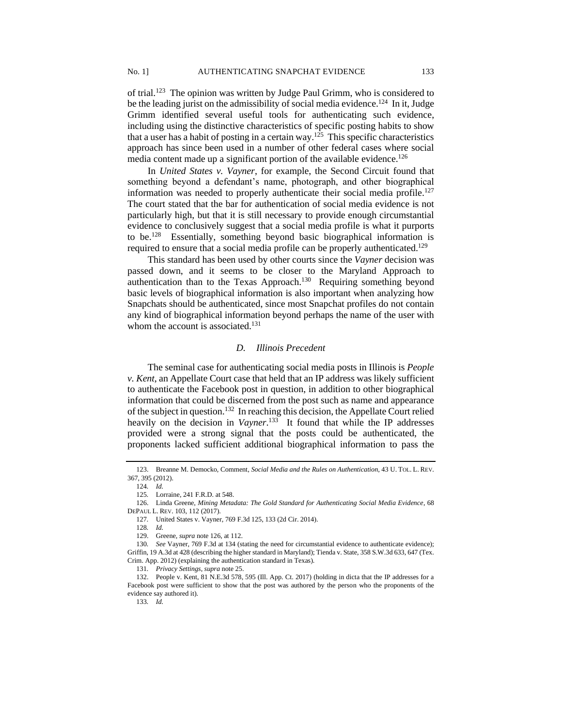of trial.<sup>123</sup> The opinion was written by Judge Paul Grimm, who is considered to be the leading jurist on the admissibility of social media evidence.<sup>124</sup> In it, Judge Grimm identified several useful tools for authenticating such evidence, including using the distinctive characteristics of specific posting habits to show that a user has a habit of posting in a certain way.<sup>125</sup> This specific characteristics approach has since been used in a number of other federal cases where social media content made up a significant portion of the available evidence.<sup>126</sup>

In *United States v. Vayner*, for example, the Second Circuit found that something beyond a defendant's name, photograph, and other biographical information was needed to properly authenticate their social media profile.<sup>127</sup> The court stated that the bar for authentication of social media evidence is not particularly high, but that it is still necessary to provide enough circumstantial evidence to conclusively suggest that a social media profile is what it purports to be.<sup>128</sup> Essentially, something beyond basic biographical information is required to ensure that a social media profile can be properly authenticated.<sup>129</sup>

This standard has been used by other courts since the *Vayner* decision was passed down, and it seems to be closer to the Maryland Approach to authentication than to the Texas Approach.<sup>130</sup> Requiring something beyond basic levels of biographical information is also important when analyzing how Snapchats should be authenticated, since most Snapchat profiles do not contain any kind of biographical information beyond perhaps the name of the user with whom the account is associated.<sup>131</sup>

## *D. Illinois Precedent*

The seminal case for authenticating social media posts in Illinois is *People v. Kent*, an Appellate Court case that held that an IP address was likely sufficient to authenticate the Facebook post in question, in addition to other biographical information that could be discerned from the post such as name and appearance of the subject in question.<sup>132</sup> In reaching this decision, the Appellate Court relied heavily on the decision in *Vayner*. 133 It found that while the IP addresses provided were a strong signal that the posts could be authenticated, the proponents lacked sufficient additional biographical information to pass the

<sup>123.</sup> Breanne M. Democko, Comment, *Social Media and the Rules on Authentication*, 43 U. TOL. L. REV. 367, 395 (2012).

<sup>124</sup>*. Id.*

<sup>125</sup>*.* Lorraine, 241 F.R.D. at 548.

<sup>126.</sup> Linda Greene, *Mining Metadata: The Gold Standard for Authenticating Social Media Evidence*, 68 DEPAUL L. REV. 103, 112 (2017).

<sup>127</sup>*.* United States v. Vayner, 769 F.3d 125, 133 (2d Cir. 2014).

<sup>128</sup>*. Id.*

<sup>129.</sup> Greene, *supra* note 126, at 112.

<sup>130</sup>*. See* Vayner, 769 F.3d at 134 (stating the need for circumstantial evidence to authenticate evidence); Griffin, 19 A.3d at 428 (describing the higher standard in Maryland); Tienda v. State, 358 S.W.3d 633, 647 (Tex. Crim. App. 2012) (explaining the authentication standard in Texas).

<sup>131</sup>*. Privacy Settings*, *supra* note 25.

<sup>132.</sup> People v. Kent, 81 N.E.3d 578, 595 (Ill. App. Ct. 2017) (holding in dicta that the IP addresses for a Facebook post were sufficient to show that the post was authored by the person who the proponents of the evidence say authored it).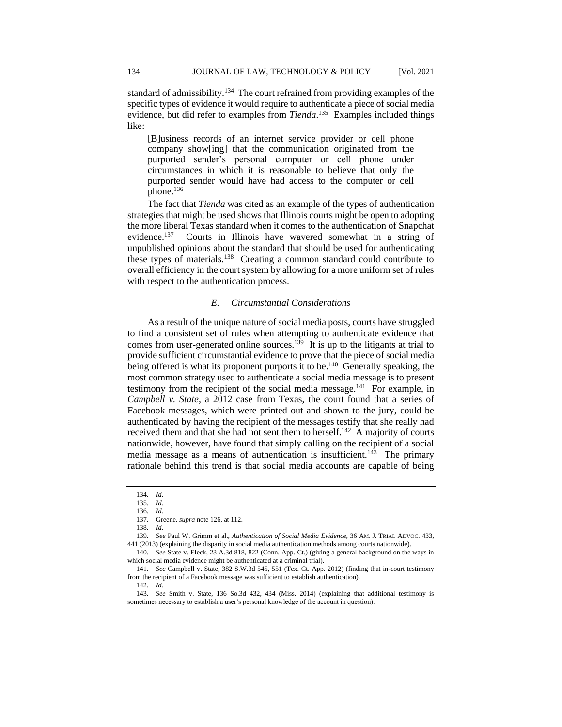[B]usiness records of an internet service provider or cell phone company show[ing] that the communication originated from the purported sender's personal computer or cell phone under circumstances in which it is reasonable to believe that only the purported sender would have had access to the computer or cell phone.<sup>136</sup>

The fact that *Tienda* was cited as an example of the types of authentication strategies that might be used shows that Illinois courts might be open to adopting the more liberal Texas standard when it comes to the authentication of Snapchat evidence.<sup>137</sup> Courts in Illinois have wavered somewhat in a string of unpublished opinions about the standard that should be used for authenticating these types of materials.<sup>138</sup> Creating a common standard could contribute to overall efficiency in the court system by allowing for a more uniform set of rules with respect to the authentication process.

## *E. Circumstantial Considerations*

As a result of the unique nature of social media posts, courts have struggled to find a consistent set of rules when attempting to authenticate evidence that comes from user-generated online sources.<sup>139</sup> It is up to the litigants at trial to provide sufficient circumstantial evidence to prove that the piece of social media being offered is what its proponent purports it to be.<sup>140</sup> Generally speaking, the most common strategy used to authenticate a social media message is to present testimony from the recipient of the social media message.<sup>141</sup> For example, in *Campbell v. State*, a 2012 case from Texas, the court found that a series of Facebook messages, which were printed out and shown to the jury, could be authenticated by having the recipient of the messages testify that she really had received them and that she had not sent them to herself.<sup>142</sup> A majority of courts nationwide, however, have found that simply calling on the recipient of a social media message as a means of authentication is insufficient.<sup>143</sup> The primary rationale behind this trend is that social media accounts are capable of being

142*. Id.*

<sup>134</sup>*. Id.*

<sup>135</sup>*. Id.*

<sup>136</sup>*. Id.*

<sup>137.</sup> Greene, *supra* note 126, at 112.

<sup>138</sup>*. Id.*

<sup>139</sup>*. See* Paul W. Grimm et al., *Authentication of Social Media Evidence*, 36 AM. J. TRIAL ADVOC. 433, 441 (2013) (explaining the disparity in social media authentication methods among courts nationwide).

<sup>140</sup>*. See* State v. Eleck, 23 A.3d 818, 822 (Conn. App. Ct.) (giving a general background on the ways in which social media evidence might be authenticated at a criminal trial).

<sup>141.</sup> *See* Campbell v. State, 382 S.W.3d 545, 551 (Tex. Ct. App. 2012) (finding that in-court testimony from the recipient of a Facebook message was sufficient to establish authentication).

<sup>143</sup>*. See* Smith v. State, 136 So.3d 432, 434 (Miss. 2014) (explaining that additional testimony is sometimes necessary to establish a user's personal knowledge of the account in question).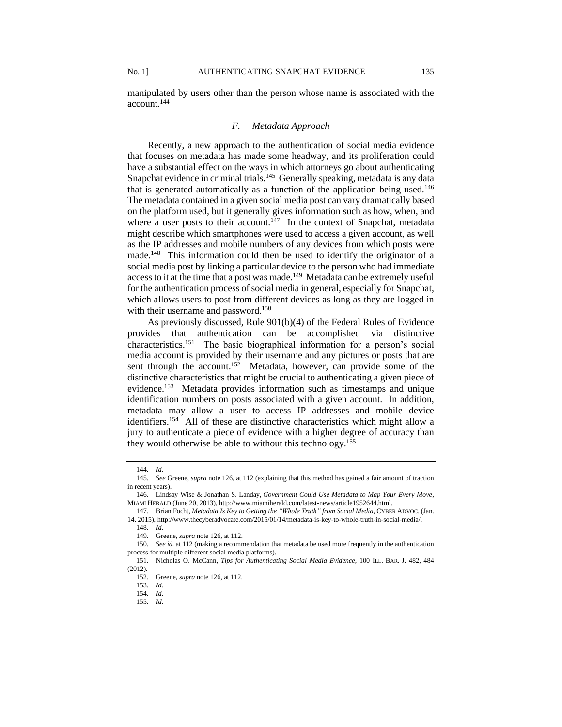account.<sup>144</sup>

manipulated by users other than the person whose name is associated with the

## *F. Metadata Approach*

Recently, a new approach to the authentication of social media evidence that focuses on metadata has made some headway, and its proliferation could have a substantial effect on the ways in which attorneys go about authenticating Snapchat evidence in criminal trials.<sup>145</sup> Generally speaking, metadata is any data that is generated automatically as a function of the application being used.<sup>146</sup> The metadata contained in a given social media post can vary dramatically based on the platform used, but it generally gives information such as how, when, and where a user posts to their account.<sup>147</sup> In the context of Snapchat, metadata might describe which smartphones were used to access a given account, as well as the IP addresses and mobile numbers of any devices from which posts were made.<sup>148</sup> This information could then be used to identify the originator of a social media post by linking a particular device to the person who had immediate access to it at the time that a post was made.<sup>149</sup> Metadata can be extremely useful for the authentication process of social media in general, especially for Snapchat, which allows users to post from different devices as long as they are logged in with their username and password.<sup>150</sup>

As previously discussed, Rule 901(b)(4) of the Federal Rules of Evidence provides that authentication can be accomplished via distinctive characteristics.<sup>151</sup> The basic biographical information for a person's social media account is provided by their username and any pictures or posts that are sent through the account.<sup>152</sup> Metadata, however, can provide some of the distinctive characteristics that might be crucial to authenticating a given piece of evidence.<sup>153</sup> Metadata provides information such as timestamps and unique identification numbers on posts associated with a given account. In addition, metadata may allow a user to access IP addresses and mobile device identifiers.<sup>154</sup> All of these are distinctive characteristics which might allow a jury to authenticate a piece of evidence with a higher degree of accuracy than they would otherwise be able to without this technology.<sup>155</sup>

<sup>144</sup>*. Id.*

<sup>145</sup>*. See* Greene, *supra* note 126, at 112 (explaining that this method has gained a fair amount of traction in recent years).

<sup>146.</sup> Lindsay Wise & Jonathan S. Landay, *Government Could Use Metadata to Map Your Every Move*, MIAMI HERALD (June 20, 2013), http://www.miamiherald.com/latest-news/article1952644.html.

<sup>147.</sup> Brian Focht, *Metadata Is Key to Getting the "Whole Truth" from Social Media*, CYBER ADVOC. (Jan. 14, 2015), http://www.thecyberadvocate.com/2015/01/14/metadata-is-key-to-whole-truth-in-social-media/.

<sup>148.</sup> *Id.*

<sup>149.</sup> Greene, *supra* note 126, at 112.

<sup>150</sup>*. See id.* at 112 (making a recommendation that metadata be used more frequently in the authentication process for multiple different social media platforms).

<sup>151.</sup> Nicholas O. McCann, *Tips for Authenticating Social Media Evidence*, 100 ILL. BAR. J. 482, 484 (2012).

<sup>152.</sup> Greene, *supra* note 126, at 112.

<sup>153</sup>*. Id.*

<sup>154</sup>*. Id.*

<sup>155</sup>*. Id.*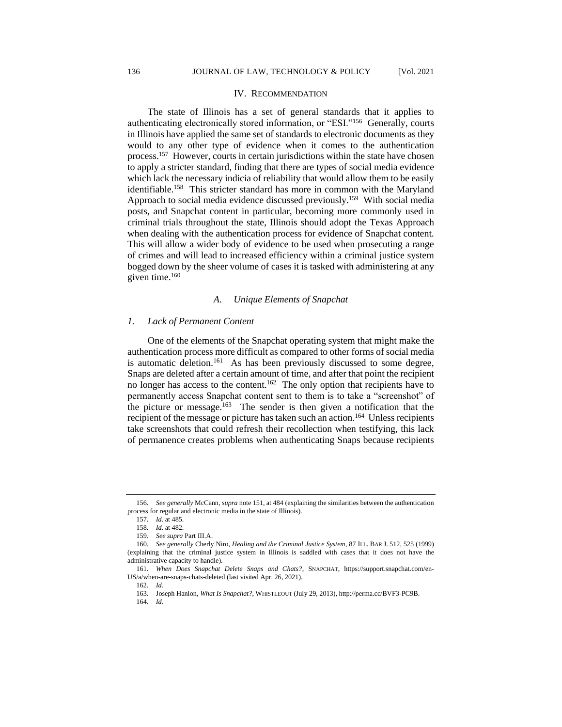#### IV. RECOMMENDATION

The state of Illinois has a set of general standards that it applies to authenticating electronically stored information, or "ESI."<sup>156</sup> Generally, courts in Illinois have applied the same set of standards to electronic documents as they would to any other type of evidence when it comes to the authentication process.<sup>157</sup> However, courts in certain jurisdictions within the state have chosen to apply a stricter standard, finding that there are types of social media evidence which lack the necessary indicia of reliability that would allow them to be easily identifiable.<sup>158</sup> This stricter standard has more in common with the Maryland Approach to social media evidence discussed previously.<sup>159</sup> With social media posts, and Snapchat content in particular, becoming more commonly used in criminal trials throughout the state, Illinois should adopt the Texas Approach when dealing with the authentication process for evidence of Snapchat content. This will allow a wider body of evidence to be used when prosecuting a range of crimes and will lead to increased efficiency within a criminal justice system bogged down by the sheer volume of cases it is tasked with administering at any given time.<sup>160</sup>

#### *A. Unique Elements of Snapchat*

#### *1. Lack of Permanent Content*

One of the elements of the Snapchat operating system that might make the authentication process more difficult as compared to other forms of social media is automatic deletion.<sup>161</sup> As has been previously discussed to some degree, Snaps are deleted after a certain amount of time, and after that point the recipient no longer has access to the content.<sup>162</sup> The only option that recipients have to permanently access Snapchat content sent to them is to take a "screenshot" of the picture or message.<sup>163</sup> The sender is then given a notification that the recipient of the message or picture has taken such an action.<sup>164</sup> Unless recipients take screenshots that could refresh their recollection when testifying, this lack of permanence creates problems when authenticating Snaps because recipients

<sup>156</sup>*. See generally* McCann, *supra* note 151, at 484 (explaining the similarities between the authentication process for regular and electronic media in the state of Illinois).

<sup>157</sup>*. Id.* at 485.

<sup>158</sup>*. Id.* at 482.

<sup>159</sup>*. See supra* Part III.A.

<sup>160</sup>*. See generally* Cherly Niro, *Healing and the Criminal Justice System*, 87 ILL. BAR J. 512, 525 (1999) (explaining that the criminal justice system in Illinois is saddled with cases that it does not have the administrative capacity to handle).

<sup>161</sup>*. When Does Snapchat Delete Snaps and Chats?*, SNAPCHAT, https://support.snapchat.com/en-US/a/when-are-snaps-chats-deleted (last visited Apr. 26, 2021).

<sup>162</sup>*. Id.*

<sup>163.</sup> Joseph Hanlon, *What Is Snapchat?*, WHISTLEOUT (July 29, 2013), http://perma.cc/BVF3-PC9B.

<sup>164</sup>*. Id.*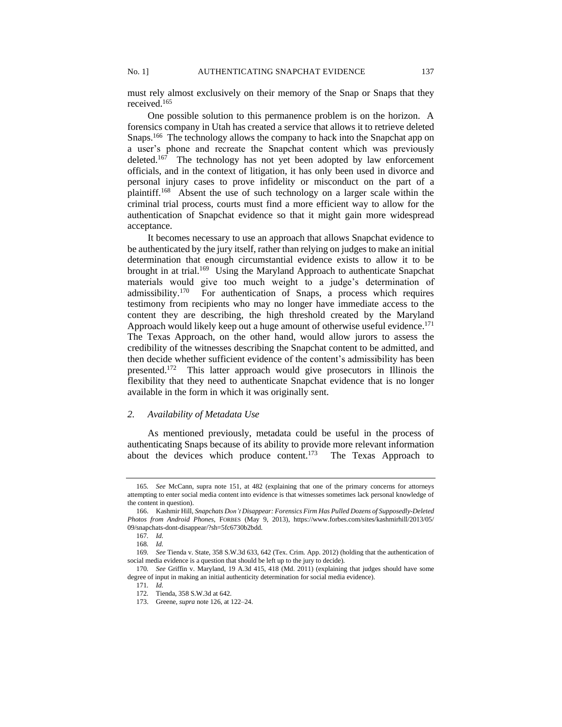must rely almost exclusively on their memory of the Snap or Snaps that they received. 165

One possible solution to this permanence problem is on the horizon. A forensics company in Utah has created a service that allows it to retrieve deleted Snaps.<sup>166</sup> The technology allows the company to hack into the Snapchat app on a user's phone and recreate the Snapchat content which was previously deleted.<sup>167</sup> The technology has not yet been adopted by law enforcement officials, and in the context of litigation, it has only been used in divorce and personal injury cases to prove infidelity or misconduct on the part of a plaintiff.<sup>168</sup> Absent the use of such technology on a larger scale within the criminal trial process, courts must find a more efficient way to allow for the authentication of Snapchat evidence so that it might gain more widespread acceptance.

It becomes necessary to use an approach that allows Snapchat evidence to be authenticated by the jury itself, rather than relying on judges to make an initial determination that enough circumstantial evidence exists to allow it to be brought in at trial.<sup>169</sup> Using the Maryland Approach to authenticate Snapchat materials would give too much weight to a judge's determination of admissibility.<sup>170</sup> For authentication of Snaps, a process which requires testimony from recipients who may no longer have immediate access to the content they are describing, the high threshold created by the Maryland Approach would likely keep out a huge amount of otherwise useful evidence.<sup>171</sup> The Texas Approach, on the other hand, would allow jurors to assess the credibility of the witnesses describing the Snapchat content to be admitted, and then decide whether sufficient evidence of the content's admissibility has been presented.<sup>172</sup> This latter approach would give prosecutors in Illinois the flexibility that they need to authenticate Snapchat evidence that is no longer available in the form in which it was originally sent.

### *2. Availability of Metadata Use*

As mentioned previously, metadata could be useful in the process of authenticating Snaps because of its ability to provide more relevant information about the devices which produce content.<sup>173</sup> The Texas Approach to

<sup>165</sup>*. See* McCann, supra note 151, at 482 (explaining that one of the primary concerns for attorneys attempting to enter social media content into evidence is that witnesses sometimes lack personal knowledge of the content in question).

<sup>166.</sup> Kashmir Hill, *Snapchats Don't Disappear: Forensics Firm Has Pulled Dozens of Supposedly-Deleted Photos from Android Phones*, FORBES (May 9, 2013), https://www.forbes.com/sites/kashmirhill/2013/05/ 09/snapchats-dont-disappear/?sh=5fc6730b2bdd.

<sup>167</sup>*. Id.*

<sup>168</sup>*. Id.*

<sup>169</sup>*. See* Tienda v. State, 358 S.W.3d 633, 642 (Tex. Crim. App. 2012) (holding that the authentication of social media evidence is a question that should be left up to the jury to decide).

<sup>170</sup>*. See* Griffin v. Maryland, 19 A.3d 415, 418 (Md. 2011) (explaining that judges should have some degree of input in making an initial authenticity determination for social media evidence).

<sup>171</sup>*. Id.*

<sup>172</sup>*.* Tienda, 358 S.W.3d at 642.

<sup>173.</sup> Greene, *supra* note 126, at 122–24.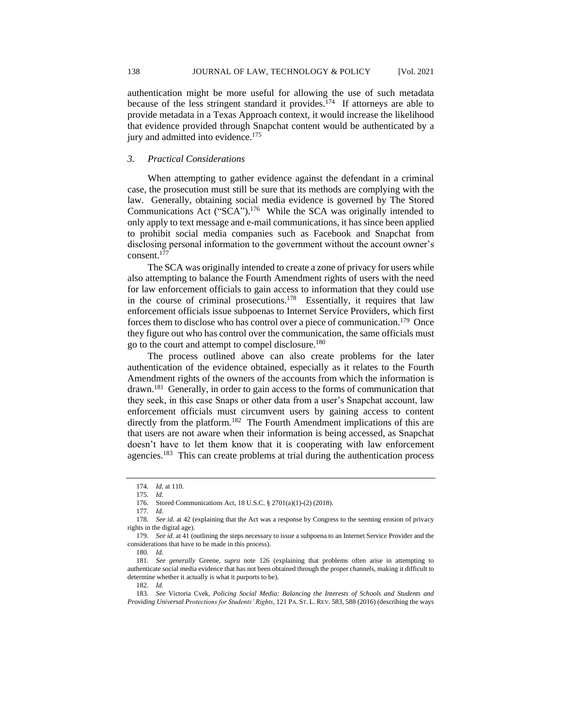authentication might be more useful for allowing the use of such metadata because of the less stringent standard it provides.<sup>174</sup> If attorneys are able to provide metadata in a Texas Approach context, it would increase the likelihood that evidence provided through Snapchat content would be authenticated by a jury and admitted into evidence.<sup>175</sup>

#### *3. Practical Considerations*

When attempting to gather evidence against the defendant in a criminal case, the prosecution must still be sure that its methods are complying with the law. Generally, obtaining social media evidence is governed by The Stored Communications Act ("SCA").<sup>176</sup> While the SCA was originally intended to only apply to text message and e-mail communications, it has since been applied to prohibit social media companies such as Facebook and Snapchat from disclosing personal information to the government without the account owner's consent.<sup>177</sup>

The SCA was originally intended to create a zone of privacy for users while also attempting to balance the Fourth Amendment rights of users with the need for law enforcement officials to gain access to information that they could use in the course of criminal prosecutions.<sup>178</sup> Essentially, it requires that law enforcement officials issue subpoenas to Internet Service Providers, which first forces them to disclose who has control over a piece of communication.<sup>179</sup> Once they figure out who has control over the communication, the same officials must go to the court and attempt to compel disclosure.<sup>180</sup>

The process outlined above can also create problems for the later authentication of the evidence obtained, especially as it relates to the Fourth Amendment rights of the owners of the accounts from which the information is drawn.<sup>181</sup> Generally, in order to gain access to the forms of communication that they seek, in this case Snaps or other data from a user's Snapchat account, law enforcement officials must circumvent users by gaining access to content directly from the platform.<sup>182</sup> The Fourth Amendment implications of this are that users are not aware when their information is being accessed, as Snapchat doesn't have to let them know that it is cooperating with law enforcement agencies.<sup>183</sup> This can create problems at trial during the authentication process

177*. Id.*

<sup>174</sup>*. Id.* at 110.

<sup>175</sup>*. Id.*

<sup>176.</sup> Stored Communications Act, 18 U.S.C. § 2701(a)(1)-(2) (2018).

<sup>178</sup>*. See id.* at 42 (explaining that the Act was a response by Congress to the seeming erosion of privacy rights in the digital age).

<sup>179</sup>*. See id.* at 41 (outlining the steps necessary to issue a subpoena to an Internet Service Provider and the considerations that have to be made in this process).

<sup>180</sup>*. Id.*

<sup>181</sup>*. See generally* Greene, *supra* note 126 (explaining that problems often arise in attempting to authenticate social media evidence that has not been obtained through the proper channels, making it difficult to determine whether it actually is what it purports to be).

<sup>182.</sup> *Id.*

<sup>183</sup>*. See* Victoria Cvek, *Policing Social Media: Balancing the Interests of Schools and Students and Providing Universal Protections for Students' Rights*, 121 PA. ST. L. REV. 583, 588 (2016) (describing the ways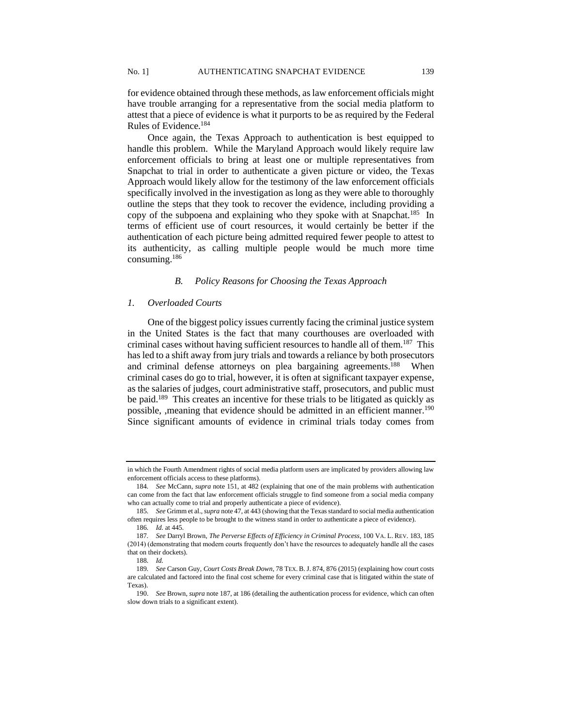for evidence obtained through these methods, as law enforcement officials might have trouble arranging for a representative from the social media platform to attest that a piece of evidence is what it purports to be as required by the Federal Rules of Evidence.<sup>184</sup>

Once again, the Texas Approach to authentication is best equipped to handle this problem. While the Maryland Approach would likely require law enforcement officials to bring at least one or multiple representatives from Snapchat to trial in order to authenticate a given picture or video, the Texas Approach would likely allow for the testimony of the law enforcement officials specifically involved in the investigation as long as they were able to thoroughly outline the steps that they took to recover the evidence, including providing a copy of the subpoena and explaining who they spoke with at Snapchat.<sup>185</sup> In terms of efficient use of court resources, it would certainly be better if the authentication of each picture being admitted required fewer people to attest to its authenticity, as calling multiple people would be much more time consuming. 186

## *B. Policy Reasons for Choosing the Texas Approach*

## *1. Overloaded Courts*

One of the biggest policy issues currently facing the criminal justice system in the United States is the fact that many courthouses are overloaded with criminal cases without having sufficient resources to handle all of them.<sup>187</sup> This has led to a shift away from jury trials and towards a reliance by both prosecutors and criminal defense attorneys on plea bargaining agreements.<sup>188</sup> When criminal cases do go to trial, however, it is often at significant taxpayer expense, as the salaries of judges, court administrative staff, prosecutors, and public must be paid.<sup>189</sup> This creates an incentive for these trials to be litigated as quickly as possible, , meaning that evidence should be admitted in an efficient manner.<sup>190</sup> Since significant amounts of evidence in criminal trials today comes from

in which the Fourth Amendment rights of social media platform users are implicated by providers allowing law enforcement officials access to these platforms).

<sup>184</sup>*. See* McCann, *supra* note 151, at 482 (explaining that one of the main problems with authentication can come from the fact that law enforcement officials struggle to find someone from a social media company who can actually come to trial and properly authenticate a piece of evidence).

<sup>185</sup>*. See* Grimm et al., *supra* note 47, at 443 (showing that the Texasstandard to social media authentication often requires less people to be brought to the witness stand in order to authenticate a piece of evidence).

<sup>186</sup>*. Id.* at 445.

<sup>187</sup>*. See* Darryl Brown, *The Perverse Effects of Efficiency in Criminal Process*, 100 VA. L. REV. 183, 185 (2014) (demonstrating that modern courts frequently don't have the resources to adequately handle all the cases that on their dockets).

<sup>188</sup>*. Id.*

<sup>189</sup>*. See* Carson Guy, *Court Costs Break Down*, 78 TEX. B.J. 874, 876 (2015) (explaining how court costs are calculated and factored into the final cost scheme for every criminal case that is litigated within the state of Texas).

<sup>190.</sup> *See* Brown, *supra* note 187, at 186 (detailing the authentication process for evidence, which can often slow down trials to a significant extent).